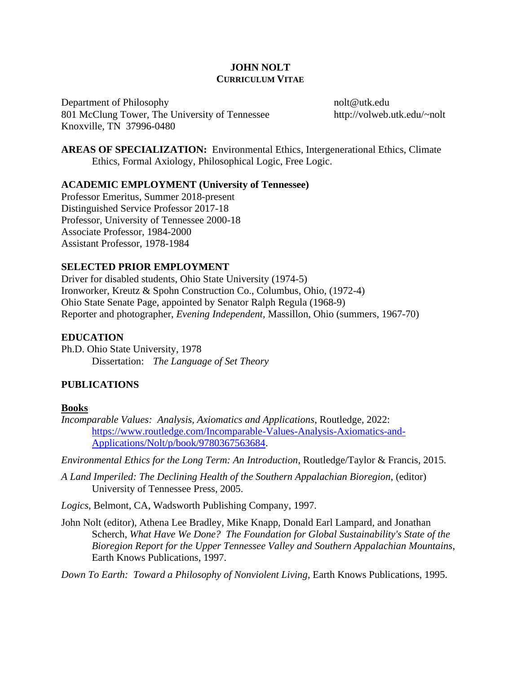## **JOHN NOLT CURRICULUM VITAE**

Department of Philosophy 801 McClung Tower, The University of Tennessee Knoxville, TN 37996-0480

nolt@utk.edu http://volweb.utk.edu/~nolt

**AREAS OF SPECIALIZATION:** Environmental Ethics, Intergenerational Ethics, Climate Ethics, Formal Axiology, Philosophical Logic, Free Logic.

## **ACADEMIC EMPLOYMENT (University of Tennessee)**

Professor Emeritus, Summer 2018-present Distinguished Service Professor 2017-18 Professor, University of Tennessee 2000-18 Associate Professor, 1984-2000 Assistant Professor, 1978-1984

## **SELECTED PRIOR EMPLOYMENT**

Driver for disabled students, Ohio State University (1974-5) Ironworker, Kreutz & Spohn Construction Co., Columbus, Ohio, (1972-4) Ohio State Senate Page, appointed by Senator Ralph Regula (1968-9) Reporter and photographer, *Evening Independent*, Massillon, Ohio (summers, 1967-70)

## **EDUCATION**

Ph.D. Ohio State University, 1978 Dissertation: *The Language of Set Theory*

# **PUBLICATIONS**

### **Books**

*Incomparable Values: Analysis, Axiomatics and Applications*, Routledge, 2022: [https://www.routledge.com/Incomparable-Values-Analysis-Axiomatics-and-](https://www.routledge.com/Incomparable-Values-Analysis-Axiomatics-and-Applications/Nolt/p/book/9780367563684)[Applications/Nolt/p/book/9780367563684.](https://www.routledge.com/Incomparable-Values-Analysis-Axiomatics-and-Applications/Nolt/p/book/9780367563684)

*Environmental Ethics for the Long Term: An Introduction*, Routledge/Taylor & Francis, 2015.

*A Land Imperiled: The Declining Health of the Southern Appalachian Bioregion*, (editor) University of Tennessee Press, 2005.

*Logics*, Belmont, CA, Wadsworth Publishing Company, 1997.

John Nolt (editor), Athena Lee Bradley, Mike Knapp, Donald Earl Lampard, and Jonathan Scherch, *What Have We Done? The Foundation for Global Sustainability's State of the Bioregion Report for the Upper Tennessee Valley and Southern Appalachian Mountains*, Earth Knows Publications, 1997.

*Down To Earth: Toward a Philosophy of Nonviolent Living*, Earth Knows Publications, 1995.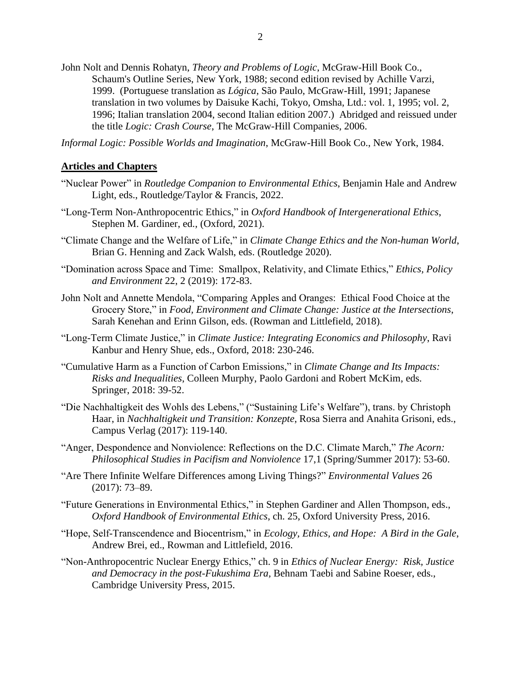John Nolt and Dennis Rohatyn, *Theory and Problems of Logic*, McGraw-Hill Book Co., Schaum's Outline Series, New York, 1988; second edition revised by Achille Varzi, 1999. (Portuguese translation as *Lógica*, São Paulo, McGraw-Hill, 1991; Japanese translation in two volumes by Daisuke Kachi, Tokyo, Omsha, Ltd.: vol. 1, 1995; vol. 2, 1996; Italian translation 2004, second Italian edition 2007.) Abridged and reissued under the title *Logic: Crash Course*, The McGraw-Hill Companies, 2006.

*Informal Logic: Possible Worlds and Imagination*, McGraw-Hill Book Co., New York, 1984.

#### **Articles and Chapters**

- "Nuclear Power" in *Routledge Companion to Environmental Ethics*, Benjamin Hale and Andrew Light, eds., Routledge/Taylor & Francis, 2022.
- "Long-Term Non-Anthropocentric Ethics," in *Oxford Handbook of Intergenerational Ethics*, Stephen M. Gardiner, ed., (Oxford, 2021).
- "Climate Change and the Welfare of Life," in *Climate Change Ethics and the Non-human World*, Brian G. Henning and Zack Walsh, eds. (Routledge 2020).
- "Domination across Space and Time: Smallpox, Relativity, and Climate Ethics," *Ethics, Policy and Environment* 22, 2 (2019): 172-83.
- John Nolt and Annette Mendola, "Comparing Apples and Oranges: Ethical Food Choice at the Grocery Store," in *Food, Environment and Climate Change: Justice at the Intersections*, Sarah Kenehan and Erinn Gilson, eds. (Rowman and Littlefield, 2018).
- "Long-Term Climate Justice," in *Climate Justice: Integrating Economics and Philosophy*, Ravi Kanbur and Henry Shue, eds., Oxford, 2018: 230-246.
- "Cumulative Harm as a Function of Carbon Emissions," in *Climate Change and Its Impacts: Risks and Inequalities*, Colleen Murphy, Paolo Gardoni and Robert McKim, eds. Springer, 2018: 39-52.
- "Die Nachhaltigkeit des Wohls des Lebens," ("Sustaining Life's Welfare"), trans. by Christoph Haar, in *Nachhaltigkeit und Transition: Konzepte*, Rosa Sierra and Anahita Grisoni, eds., Campus Verlag (2017): 119-140.
- "Anger, Despondence and Nonviolence: Reflections on the D.C. Climate March," *The Acorn: Philosophical Studies in Pacifism and Nonviolence* 17,1 (Spring/Summer 2017): 53-60.
- "Are There Infinite Welfare Differences among Living Things?" *Environmental Values* 26 (2017): 73–89.
- "Future Generations in Environmental Ethics," in Stephen Gardiner and Allen Thompson, eds., *Oxford Handbook of Environmental Ethics*, ch. 25, Oxford University Press, 2016.
- "Hope, Self-Transcendence and Biocentrism," in *Ecology, Ethics, and Hope: A Bird in the Gale*, Andrew Brei, ed., Rowman and Littlefield, 2016.
- "Non-Anthropocentric Nuclear Energy Ethics," ch. 9 in *Ethics of Nuclear Energy: Risk, Justice and Democracy in the post-Fukushima Era,* Behnam Taebi and Sabine Roeser, eds., Cambridge University Press, 2015.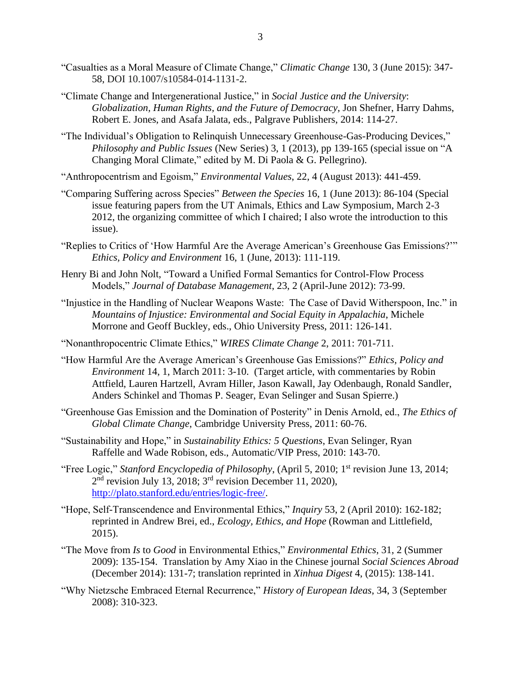- "Casualties as a Moral Measure of Climate Change," *Climatic Change* 130, 3 (June 2015): 347- 58, DOI 10.1007/s10584-014-1131-2.
- "Climate Change and Intergenerational Justice," in *Social Justice and the University*: *Globalization, Human Rights, and the Future of Democracy*, Jon Shefner, Harry Dahms, Robert E. Jones, and Asafa Jalata, eds., Palgrave Publishers, 2014: 114-27.
- "The Individual's Obligation to Relinquish Unnecessary Greenhouse-Gas-Producing Devices," *Philosophy and Public Issues* (New Series) 3, 1 (2013), pp 139-165 (special issue on "A Changing Moral Climate," edited by M. Di Paola & G. Pellegrino).
- "Anthropocentrism and Egoism," *Environmental Values*, 22, 4 (August 2013): 441-459.
- "Comparing Suffering across Species" *Between the Species* 16, 1 (June 2013): 86-104 (Special issue featuring papers from the UT Animals, Ethics and Law Symposium, March 2-3 2012, the organizing committee of which I chaired; I also wrote the introduction to this issue).
- "Replies to Critics of 'How Harmful Are the Average American's Greenhouse Gas Emissions?'" *Ethics, Policy and Environment* 16, 1 (June, 2013): 111-119.
- Henry Bi and John Nolt, "Toward a Unified Formal Semantics for Control-Flow Process Models," *Journal of Database Management*, 23, 2 (April-June 2012): 73-99.
- "Injustice in the Handling of Nuclear Weapons Waste: The Case of David Witherspoon, Inc." in *Mountains of Injustice: Environmental and Social Equity in Appalachia*, Michele Morrone and Geoff Buckley, eds., Ohio University Press, 2011: 126-141.
- "Nonanthropocentric Climate Ethics," *WIRES Climate Change* 2, 2011: 701-711.
- "How Harmful Are the Average American's Greenhouse Gas Emissions?" *Ethics, Policy and Environment* 14, 1, March 2011: 3-10. (Target article, with commentaries by Robin Attfield, Lauren Hartzell, Avram Hiller, Jason Kawall, Jay Odenbaugh, Ronald Sandler, Anders Schinkel and Thomas P. Seager, Evan Selinger and Susan Spierre.)
- "Greenhouse Gas Emission and the Domination of Posterity" in Denis Arnold, ed., *The Ethics of Global Climate Change*, Cambridge University Press, 2011: 60-76.
- "Sustainability and Hope," in *Sustainability Ethics: 5 Questions*, Evan Selinger, Ryan Raffelle and Wade Robison, eds., Automatic/VIP Press, 2010: 143-70.
- "Free Logic," Stanford Encyclopedia of Philosophy, (April 5, 2010; 1<sup>st</sup> revision June 13, 2014;  $2<sup>nd</sup>$  revision July 13, 2018;  $3<sup>rd</sup>$  revision December 11, 2020), [http://plato.stanford.edu/entries/logic-free/.](http://plato.stanford.edu/entries/logic-free/)
- "Hope, Self-Transcendence and Environmental Ethics," *Inquiry* 53, 2 (April 2010): 162-182; reprinted in Andrew Brei, ed., *Ecology, Ethics, and Hope* (Rowman and Littlefield, 2015).
- "The Move from *Is* to *Good* in Environmental Ethics," *Environmental Ethics*, 31, 2 (Summer 2009): 135-154. Translation by Amy Xiao in the Chinese journal *Social Sciences Abroad* (December 2014): 131-7; translation reprinted in *Xinhua Digest* 4, (2015): 138-141.
- "Why Nietzsche Embraced Eternal Recurrence," *History of European Ideas*, 34, 3 (September 2008): 310-323.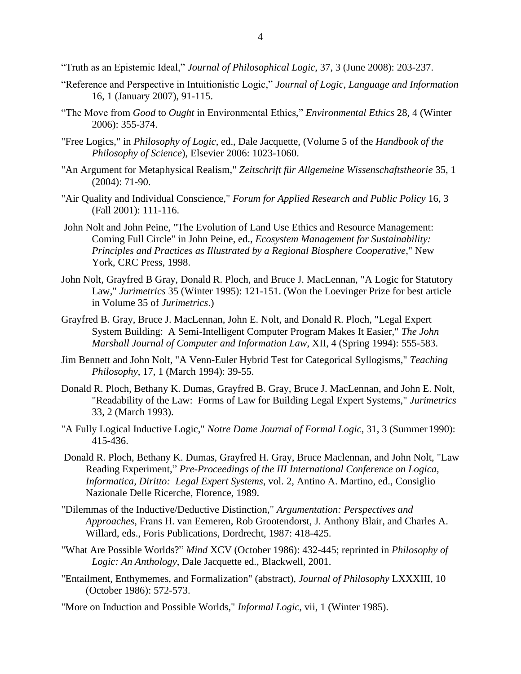"Truth as an Epistemic Ideal," *Journal of Philosophical Logic*, 37, 3 (June 2008): 203-237.

- "Reference and Perspective in Intuitionistic Logic," *Journal of Logic, Language and Information* 16, 1 (January 2007), 91-115.
- "The Move from *Good* to *Ought* in Environmental Ethics," *Environmental Ethics* 28, 4 (Winter 2006): 355-374.
- "Free Logics," in *Philosophy of Logic*, ed., Dale Jacquette, (Volume 5 of the *Handbook of the Philosophy of Science*), Elsevier 2006: 1023-1060.
- "An Argument for Metaphysical Realism," *Zeitschrift für Allgemeine Wissenschaftstheorie* 35, 1 (2004): 71-90.
- "Air Quality and Individual Conscience," *Forum for Applied Research and Public Policy* 16, 3 (Fall 2001): 111-116.
- John Nolt and John Peine, "The Evolution of Land Use Ethics and Resource Management: Coming Full Circle" in John Peine, ed., *Ecosystem Management for Sustainability: Principles and Practices as Illustrated by a Regional Biosphere Cooperative*," New York, CRC Press, 1998.
- John Nolt, Grayfred B Gray, Donald R. Ploch, and Bruce J. MacLennan, "A Logic for Statutory Law," *Jurimetrics* 35 (Winter 1995): 121-151. (Won the Loevinger Prize for best article in Volume 35 of *Jurimetrics*.)
- Grayfred B. Gray, Bruce J. MacLennan, John E. Nolt, and Donald R. Ploch, "Legal Expert System Building: A Semi-Intelligent Computer Program Makes It Easier," *The John Marshall Journal of Computer and Information Law*, XII, 4 (Spring 1994): 555-583.
- Jim Bennett and John Nolt, "A Venn-Euler Hybrid Test for Categorical Syllogisms," *Teaching Philosophy*, 17, 1 (March 1994): 39-55.
- Donald R. Ploch, Bethany K. Dumas, Grayfred B. Gray, Bruce J. MacLennan, and John E. Nolt, "Readability of the Law: Forms of Law for Building Legal Expert Systems," *Jurimetrics* 33, 2 (March 1993).
- "A Fully Logical Inductive Logic," *Notre Dame Journal of Formal Logic*, 31, 3 (Summer 1990): 415-436.
- Donald R. Ploch, Bethany K. Dumas, Grayfred H. Gray, Bruce Maclennan, and John Nolt, "Law Reading Experiment," *Pre-Proceedings of the III International Conference on Logica, Informatica, Diritto: Legal Expert Systems*, vol. 2, Antino A. Martino, ed., Consiglio Nazionale Delle Ricerche, Florence, 1989.
- "Dilemmas of the Inductive/Deductive Distinction," *Argumentation: Perspectives and Approaches*, Frans H. van Eemeren, Rob Grootendorst, J. Anthony Blair, and Charles A. Willard, eds., Foris Publications, Dordrecht, 1987: 418-425.
- "What Are Possible Worlds?" *Mind* XCV (October 1986): 432-445; reprinted in *Philosophy of Logic: An Anthology*, Dale Jacquette ed., Blackwell, 2001.
- "Entailment, Enthymemes, and Formalization" (abstract), *Journal of Philosophy* LXXXIII, 10 (October 1986): 572-573.
- "More on Induction and Possible Worlds," *Informal Logic*, vii, 1 (Winter 1985).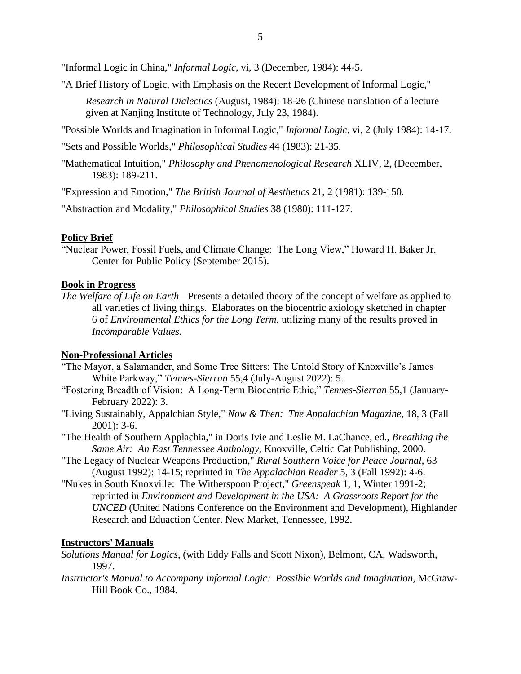"Informal Logic in China," *Informal Logic*, vi, 3 (December, 1984): 44-5.

"A Brief History of Logic, with Emphasis on the Recent Development of Informal Logic,"

*Research in Natural Dialectics* (August, 1984): 18-26 (Chinese translation of a lecture given at Nanjing Institute of Technology, July 23, 1984).

"Possible Worlds and Imagination in Informal Logic," *Informal Logic*, vi, 2 (July 1984): 14-17.

"Sets and Possible Worlds," *Philosophical Studies* 44 (1983): 21-35.

"Mathematical Intuition," *Philosophy and Phenomenological Research* XLIV, 2, (December, 1983): 189-211.

"Expression and Emotion," *The British Journal of Aesthetics* 21, 2 (1981): 139-150.

"Abstraction and Modality," *Philosophical Studies* 38 (1980): 111-127.

### **Policy Brief**

"Nuclear Power, Fossil Fuels, and Climate Change: The Long View," Howard H. Baker Jr. Center for Public Policy (September 2015).

### **Book in Progress**

*The Welfare of Life on Earth—*Presents a detailed theory of the concept of welfare as applied to all varieties of living things. Elaborates on the biocentric axiology sketched in chapter 6 of *Environmental Ethics for the Long Term*, utilizing many of the results proved in *Incomparable Values*.

### **Non-Professional Articles**

- "The Mayor, a Salamander, and Some Tree Sitters: The Untold Story of Knoxville's James White Parkway," *Tennes-Sierran* 55,4 (July-August 2022): 5.
- "Fostering Breadth of Vision: A Long-Term Biocentric Ethic," *Tennes-Sierran* 55,1 (January-February 2022): 3.
- "Living Sustainably, Appalchian Style," *Now & Then: The Appalachian Magazine*, 18, 3 (Fall 2001): 3-6.
- "The Health of Southern Applachia," in Doris Ivie and Leslie M. LaChance, ed., *Breathing the Same Air: An East Tennessee Anthology*, Knoxville, Celtic Cat Publishing, 2000.
- "The Legacy of Nuclear Weapons Production," *Rural Southern Voice for Peace Journal*, 63 (August 1992): 14-15; reprinted in *The Appalachian Reader* 5, 3 (Fall 1992): 4-6.
- "Nukes in South Knoxville: The Witherspoon Project," *Greenspeak* 1, 1, Winter 1991-2; reprinted in *Environment and Development in the USA: A Grassroots Report for the UNCED* (United Nations Conference on the Environment and Development), Highlander Research and Eduaction Center, New Market, Tennessee, 1992.

### **Instructors' Manuals**

*Solutions Manual for Logics*, (with Eddy Falls and Scott Nixon), Belmont, CA, Wadsworth, 1997.

*Instructor's Manual to Accompany Informal Logic: Possible Worlds and Imagination*, McGraw-Hill Book Co., 1984.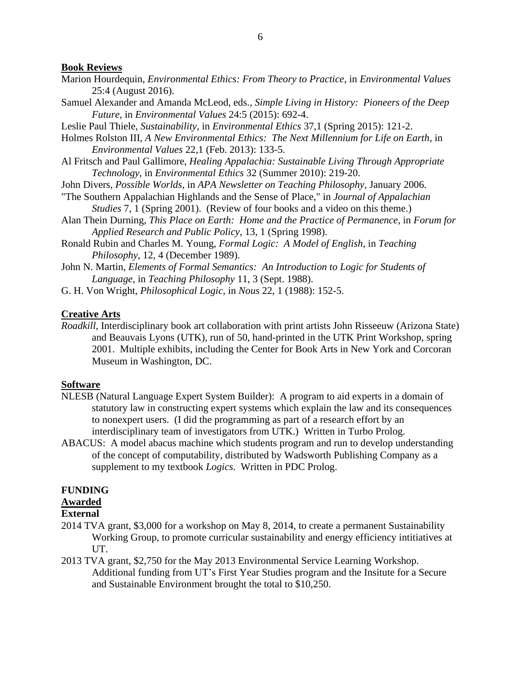### **Book Reviews**

- Marion Hourdequin, *Environmental Ethics: From Theory to Practice*, in *Environmental Values* 25:4 (August 2016).
- Samuel Alexander and Amanda McLeod, eds., *Simple Living in History: Pioneers of the Deep Future*, in *Environmental Values* 24:5 (2015): 692-4.
- Leslie Paul Thiele, *Sustainability*, in *Environmental Ethics* 37,1 (Spring 2015): 121-2.
- Holmes Rolston III, *A New Environmental Ethics: The Next Millennium for Life on Earth*, in *Environmental Values* 22,1 (Feb. 2013): 133-5.
- Al Fritsch and Paul Gallimore, *Healing Appalachia: Sustainable Living Through Appropriate Technology*, in *Environmental Ethics* 32 (Summer 2010): 219-20.
- John Divers, *Possible Worlds*, in *APA Newsletter on Teaching Philosophy*, January 2006.
- "The Southern Appalachian Highlands and the Sense of Place," in *Journal of Appalachian Studies* 7, 1 (Spring 2001). (Review of four books and a video on this theme.)
- Alan Thein Durning, *This Place on Earth: Home and the Practice of Permanence*, in *Forum for Applied Research and Public Policy*, 13, 1 (Spring 1998).
- Ronald Rubin and Charles M. Young, *Formal Logic: A Model of English*, in *Teaching Philosophy*, 12, 4 (December 1989).
- John N. Martin, *Elements of Formal Semantics: An Introduction to Logic for Students of Language*, in *Teaching Philosophy* 11, 3 (Sept. 1988).
- G. H. Von Wright, *Philosophical Logic*, in *Nous* 22, 1 (1988): 152-5.

## **Creative Arts**

*Roadkill*, Interdisciplinary book art collaboration with print artists John Risseeuw (Arizona State) and Beauvais Lyons (UTK), run of 50, hand-printed in the UTK Print Workshop, spring 2001. Multiple exhibits, including the Center for Book Arts in New York and Corcoran Museum in Washington, DC.

### **Software**

- NLESB (Natural Language Expert System Builder): A program to aid experts in a domain of statutory law in constructing expert systems which explain the law and its consequences to nonexpert users. (I did the programming as part of a research effort by an interdisciplinary team of investigators from UTK.) Written in Turbo Prolog.
- ABACUS: A model abacus machine which students program and run to develop understanding of the concept of computability, distributed by Wadsworth Publishing Company as a supplement to my textbook *Logics*. Written in PDC Prolog.

### **FUNDING**

#### **Awarded**

#### **External**

- 2014 TVA grant, \$3,000 for a workshop on May 8, 2014, to create a permanent Sustainability Working Group, to promote curricular sustainability and energy efficiency intitiatives at UT.
- 2013 TVA grant, \$2,750 for the May 2013 Environmental Service Learning Workshop. Additional funding from UT's First Year Studies program and the Insitute for a Secure and Sustainable Environment brought the total to \$10,250.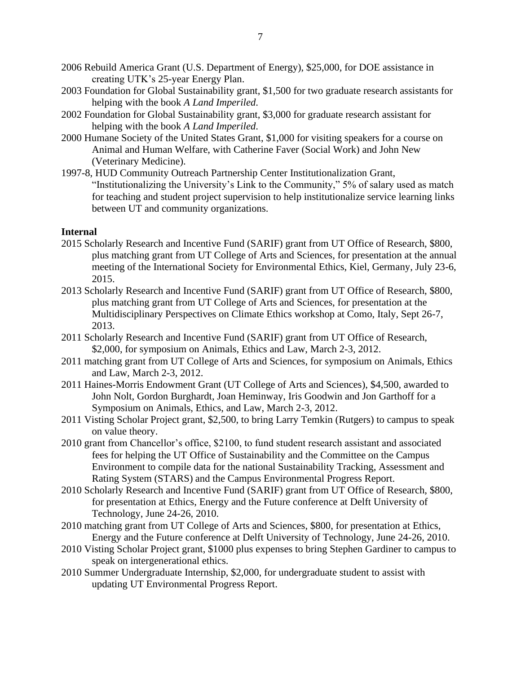- 2006 Rebuild America Grant (U.S. Department of Energy), \$25,000, for DOE assistance in creating UTK's 25-year Energy Plan.
- 2003 Foundation for Global Sustainability grant, \$1,500 for two graduate research assistants for helping with the book *A Land Imperiled*.
- 2002 Foundation for Global Sustainability grant, \$3,000 for graduate research assistant for helping with the book *A Land Imperiled*.
- 2000 Humane Society of the United States Grant, \$1,000 for visiting speakers for a course on Animal and Human Welfare, with Catherine Faver (Social Work) and John New (Veterinary Medicine).
- 1997-8, HUD Community Outreach Partnership Center Institutionalization Grant, "Institutionalizing the University's Link to the Community," 5% of salary used as match for teaching and student project supervision to help institutionalize service learning links between UT and community organizations.

### **Internal**

- 2015 Scholarly Research and Incentive Fund (SARIF) grant from UT Office of Research, \$800, plus matching grant from UT College of Arts and Sciences, for presentation at the annual meeting of the International Society for Environmental Ethics, Kiel, Germany, July 23-6, 2015.
- 2013 Scholarly Research and Incentive Fund (SARIF) grant from UT Office of Research, \$800, plus matching grant from UT College of Arts and Sciences, for presentation at the Multidisciplinary Perspectives on Climate Ethics workshop at Como, Italy, Sept 26-7, 2013.
- 2011 Scholarly Research and Incentive Fund (SARIF) grant from UT Office of Research, \$2,000, for symposium on Animals, Ethics and Law, March 2-3, 2012.
- 2011 matching grant from UT College of Arts and Sciences, for symposium on Animals, Ethics and Law, March 2-3, 2012.
- 2011 Haines-Morris Endowment Grant (UT College of Arts and Sciences), \$4,500, awarded to John Nolt, Gordon Burghardt, Joan Heminway, Iris Goodwin and Jon Garthoff for a Symposium on Animals, Ethics, and Law, March 2-3, 2012.
- 2011 Visting Scholar Project grant, \$2,500, to bring Larry Temkin (Rutgers) to campus to speak on value theory.
- 2010 grant from Chancellor's office, \$2100, to fund student research assistant and associated fees for helping the UT Office of Sustainability and the Committee on the Campus Environment to compile data for the national Sustainability Tracking, Assessment and Rating System (STARS) and the Campus Environmental Progress Report.
- 2010 Scholarly Research and Incentive Fund (SARIF) grant from UT Office of Research, \$800, for presentation at Ethics, Energy and the Future conference at Delft University of Technology, June 24-26, 2010.
- 2010 matching grant from UT College of Arts and Sciences, \$800, for presentation at Ethics, Energy and the Future conference at Delft University of Technology, June 24-26, 2010.
- 2010 Visting Scholar Project grant, \$1000 plus expenses to bring Stephen Gardiner to campus to speak on intergenerational ethics.
- 2010 Summer Undergraduate Internship, \$2,000, for undergraduate student to assist with updating UT Environmental Progress Report.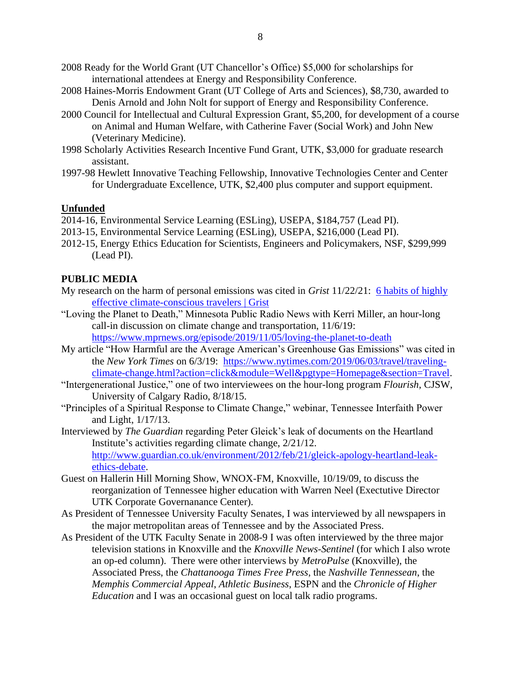- 2008 Ready for the World Grant (UT Chancellor's Office) \$5,000 for scholarships for international attendees at Energy and Responsibility Conference.
- 2008 Haines-Morris Endowment Grant (UT College of Arts and Sciences), \$8,730, awarded to Denis Arnold and John Nolt for support of Energy and Responsibility Conference.
- 2000 Council for Intellectual and Cultural Expression Grant, \$5,200, for development of a course on Animal and Human Welfare, with Catherine Faver (Social Work) and John New (Veterinary Medicine).
- 1998 Scholarly Activities Research Incentive Fund Grant, UTK, \$3,000 for graduate research assistant.
- 1997-98 Hewlett Innovative Teaching Fellowship, Innovative Technologies Center and Center for Undergraduate Excellence, UTK, \$2,400 plus computer and support equipment.

### **Unfunded**

2014-16, Environmental Service Learning (ESLing), USEPA, \$184,757 (Lead PI).

- 2013-15, Environmental Service Learning (ESLing), USEPA, \$216,000 (Lead PI).
- 2012-15, Energy Ethics Education for Scientists, Engineers and Policymakers, NSF, \$299,999 (Lead PI).

### **PUBLIC MEDIA**

- My research on the harm of personal emissions was cited in *Grist* 11/22/21: [6 habits of highly](https://grist.org/guides/2021-holiday-makeover/6-habits-of-highly-effective-climate-conscious-travelers/)  [effective climate-conscious travelers | Grist](https://grist.org/guides/2021-holiday-makeover/6-habits-of-highly-effective-climate-conscious-travelers/)
- "Loving the Planet to Death," Minnesota Public Radio News with Kerri Miller, an hour-long call-in discussion on climate change and transportation, 11/6/19: <https://www.mprnews.org/episode/2019/11/05/loving-the-planet-to-death>
- My article "How Harmful are the Average American's Greenhouse Gas Emissions" was cited in the *New York Times* on 6/3/19: [https://www.nytimes.com/2019/06/03/travel/traveling](https://www.nytimes.com/2019/06/03/travel/traveling-climate-change.html?action=click&module=Well&pgtype=Homepage§ion=Travel)[climate-change.html?action=click&module=Well&pgtype=Homepage&section=Travel.](https://www.nytimes.com/2019/06/03/travel/traveling-climate-change.html?action=click&module=Well&pgtype=Homepage§ion=Travel)
- "Intergenerational Justice," one of two interviewees on the hour-long program *Flourish*, CJSW, University of Calgary Radio, 8/18/15.
- "Principles of a Spiritual Response to Climate Change," webinar, Tennessee Interfaith Power and Light, 1/17/13.
- Interviewed by *The Guardian* regarding Peter Gleick's leak of documents on the Heartland Institute's activities regarding climate change, 2/21/12. [http://www.guardian.co.uk/environment/2012/feb/21/gleick-apology-heartland-leak](http://www.guardian.co.uk/environment/2012/feb/21/gleick-apology-heartland-leak-ethics-debate)[ethics-debate.](http://www.guardian.co.uk/environment/2012/feb/21/gleick-apology-heartland-leak-ethics-debate)
- Guest on Hallerin Hill Morning Show, WNOX-FM, Knoxville, 10/19/09, to discuss the reorganization of Tennessee higher education with Warren Neel (Exectutive Director UTK Corporate Governanance Center).
- As President of Tennessee University Faculty Senates, I was interviewed by all newspapers in the major metropolitan areas of Tennessee and by the Associated Press.
- As President of the UTK Faculty Senate in 2008-9 I was often interviewed by the three major television stations in Knoxville and the *Knoxville News-Sentinel* (for which I also wrote an op-ed column). There were other interviews by *MetroPulse* (Knoxville), the Associated Press, the *Chattanooga Times Free Press*, the *Nashville Tennessean*, the *Memphis Commercial Appeal*, *Athletic Business*, ESPN and the *Chronicle of Higher Education* and I was an occasional guest on local talk radio programs.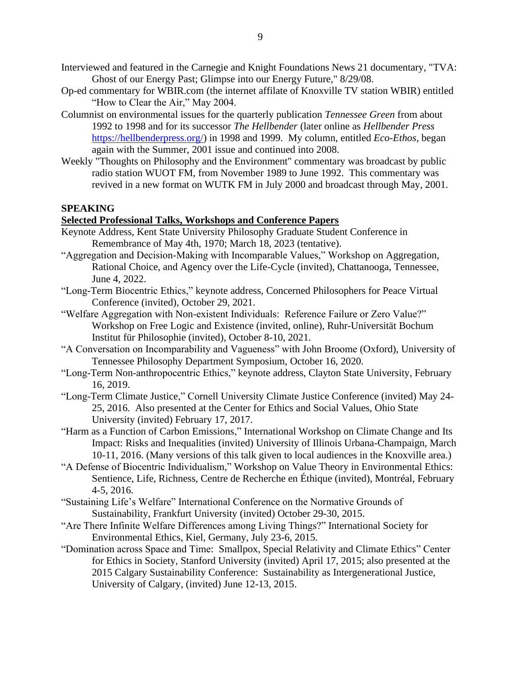- Interviewed and featured in the Carnegie and Knight Foundations News 21 documentary, "TVA: Ghost of our Energy Past; Glimpse into our Energy Future," 8/29/08.
- Op-ed commentary for WBIR.com (the internet affilate of Knoxville TV station WBIR) entitled "How to Clear the Air," May 2004.
- Columnist on environmental issues for the quarterly publication *Tennessee Green* from about 1992 to 1998 and for its successor *The Hellbender* (later online as *Hellbender Press* [https://hellbenderpress.org/\)](https://hellbenderpress.org/) in 1998 and 1999. My column, entitled *Eco-Ethos*, began again with the Summer, 2001 issue and continued into 2008.
- Weekly "Thoughts on Philosophy and the Environment" commentary was broadcast by public radio station WUOT FM, from November 1989 to June 1992. This commentary was revived in a new format on WUTK FM in July 2000 and broadcast through May, 2001.

### **SPEAKING**

### **Selected Professional Talks, Workshops and Conference Papers**

- Keynote Address, Kent State University Philosophy Graduate Student Conference in Remembrance of May 4th, 1970; March 18, 2023 (tentative).
- "Aggregation and Decision-Making with Incomparable Values," Workshop on Aggregation, Rational Choice, and Agency over the Life-Cycle (invited), Chattanooga, Tennessee, June 4, 2022.
- "Long-Term Biocentric Ethics," keynote address, Concerned Philosophers for Peace Virtual Conference (invited), October 29, 2021.
- "Welfare Aggregation with Non-existent Individuals: Reference Failure or Zero Value?" Workshop on Free Logic and Existence (invited, online), Ruhr-Universität Bochum Institut für Philosophie (invited), October 8-10, 2021.
- "A Conversation on Incomparability and Vagueness" with John Broome (Oxford), University of Tennessee Philosophy Department Symposium, October 16, 2020.
- "Long-Term Non-anthropocentric Ethics," keynote address, Clayton State University, February 16, 2019.
- "Long-Term Climate Justice," Cornell University Climate Justice Conference (invited) May 24- 25, 2016. Also presented at the Center for Ethics and Social Values, Ohio State University (invited) February 17, 2017.
- "Harm as a Function of Carbon Emissions," International Workshop on Climate Change and Its Impact: Risks and Inequalities (invited) University of Illinois Urbana-Champaign, March 10-11, 2016. (Many versions of this talk given to local audiences in the Knoxville area.)
- "A Defense of Biocentric Individualism," Workshop on Value Theory in Environmental Ethics: Sentience, Life, Richness, Centre de Recherche en Éthique (invited), Montréal, February 4-5, 2016.
- "Sustaining Life's Welfare" International Conference on the Normative Grounds of Sustainability, Frankfurt University (invited) October 29-30, 2015.
- "Are There Infinite Welfare Differences among Living Things?" International Society for Environmental Ethics, Kiel, Germany, July 23-6, 2015.
- "Domination across Space and Time: Smallpox, Special Relativity and Climate Ethics" Center for Ethics in Society, Stanford University (invited) April 17, 2015; also presented at the 2015 Calgary Sustainability Conference: Sustainability as Intergenerational Justice, University of Calgary, (invited) June 12-13, 2015.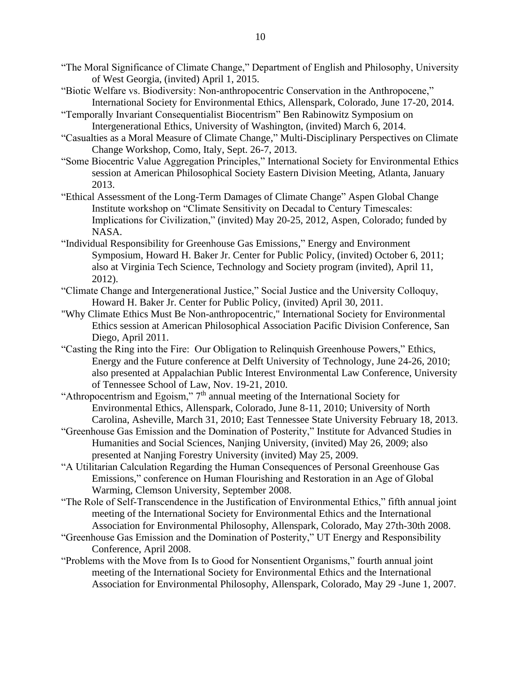- "The Moral Significance of Climate Change," Department of English and Philosophy, University of West Georgia, (invited) April 1, 2015.
- "Biotic Welfare vs. Biodiversity: Non-anthropocentric Conservation in the Anthropocene," International Society for Environmental Ethics, Allenspark, Colorado, June 17-20, 2014.
- "Temporally Invariant Consequentialist Biocentrism" Ben Rabinowitz Symposium on Intergenerational Ethics, University of Washington, (invited) March 6, 2014.
- "Casualties as a Moral Measure of Climate Change," Multi-Disciplinary Perspectives on Climate Change Workshop, Como, Italy, Sept. 26-7, 2013.
- "Some Biocentric Value Aggregation Principles," International Society for Environmental Ethics session at American Philosophical Society Eastern Division Meeting, Atlanta, January 2013.
- "Ethical Assessment of the Long-Term Damages of Climate Change" Aspen Global Change Institute workshop on "Climate Sensitivity on Decadal to Century Timescales: Implications for Civilization," (invited) May 20-25, 2012, Aspen, Colorado; funded by NASA.
- "Individual Responsibility for Greenhouse Gas Emissions," Energy and Environment Symposium, Howard H. Baker Jr. Center for Public Policy, (invited) October 6, 2011; also at Virginia Tech Science, Technology and Society program (invited), April 11, 2012).
- "Climate Change and Intergenerational Justice," Social Justice and the University Colloquy, Howard H. Baker Jr. Center for Public Policy, (invited) April 30, 2011.
- "Why Climate Ethics Must Be Non-anthropocentric," International Society for Environmental Ethics session at American Philosophical Association Pacific Division Conference, San Diego, April 2011.
- "Casting the Ring into the Fire: Our Obligation to Relinquish Greenhouse Powers," Ethics, Energy and the Future conference at Delft University of Technology, June 24-26, 2010; also presented at Appalachian Public Interest Environmental Law Conference, University of Tennessee School of Law, Nov. 19-21, 2010.
- "Athropocentrism and Egoism," 7th annual meeting of the International Society for Environmental Ethics, Allenspark, Colorado, June 8-11, 2010; University of North Carolina, Asheville, March 31, 2010; East Tennessee State University February 18, 2013.
- "Greenhouse Gas Emission and the Domination of Posterity," Institute for Advanced Studies in Humanities and Social Sciences, Nanjing University, (invited) May 26, 2009; also presented at Nanjing Forestry University (invited) May 25, 2009.
- "A Utilitarian Calculation Regarding the Human Consequences of Personal Greenhouse Gas Emissions," conference on Human Flourishing and Restoration in an Age of Global Warming, Clemson University, September 2008.
- "The Role of Self-Transcendence in the Justification of Environmental Ethics," fifth annual joint meeting of the International Society for Environmental Ethics and the International Association for Environmental Philosophy, Allenspark, Colorado, May 27th-30th 2008.
- "Greenhouse Gas Emission and the Domination of Posterity," UT Energy and Responsibility Conference, April 2008.
- "Problems with the Move from Is to Good for Nonsentient Organisms," fourth annual joint meeting of the International Society for Environmental Ethics and the International Association for Environmental Philosophy, Allenspark, Colorado, May 29 -June 1, 2007.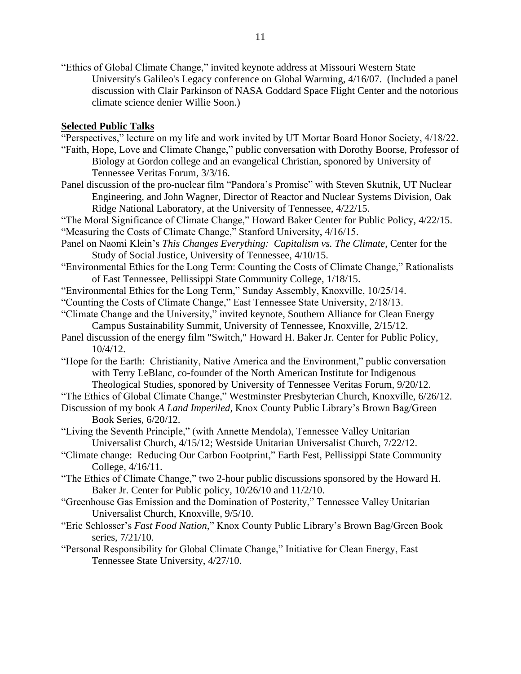"Ethics of Global Climate Change," invited keynote address at Missouri Western State University's Galileo's Legacy conference on Global Warming, 4/16/07. (Included a panel discussion with Clair Parkinson of NASA Goddard Space Flight Center and the notorious climate science denier Willie Soon.)

#### **Selected Public Talks**

- "Perspectives," lecture on my life and work invited by UT Mortar Board Honor Society, 4/18/22.
- "Faith, Hope, Love and Climate Change," public conversation with Dorothy Boorse, Professor of Biology at Gordon college and an evangelical Christian, sponored by University of Tennessee Veritas Forum, 3/3/16.
- Panel discussion of the pro-nuclear film "Pandora's Promise" with Steven Skutnik, UT Nuclear Engineering, and John Wagner, Director of Reactor and Nuclear Systems Division, Oak Ridge National Laboratory, at the University of Tennessee, 4/22/15.
- "The Moral Significance of Climate Change," Howard Baker Center for Public Policy, 4/22/15. "Measuring the Costs of Climate Change," Stanford University, 4/16/15.
- Panel on Naomi Klein's *This Changes Everything: Capitalism vs. The Climate*, Center for the Study of Social Justice, University of Tennessee, 4/10/15.
- "Environmental Ethics for the Long Term: Counting the Costs of Climate Change," Rationalists of East Tennessee, Pellissippi State Community College, 1/18/15.
- "Environmental Ethics for the Long Term," Sunday Assembly, Knoxville, 10/25/14.
- "Counting the Costs of Climate Change," East Tennessee State University, 2/18/13.
- "Climate Change and the University," invited keynote, Southern Alliance for Clean Energy Campus Sustainability Summit, University of Tennessee, Knoxville, 2/15/12.
- Panel discussion of the energy film "Switch," Howard H. Baker Jr. Center for Public Policy, 10/4/12.
- "Hope for the Earth: Christianity, Native America and the Environment," public conversation with Terry LeBlanc, co-founder of the North American Institute for Indigenous Theological Studies, sponored by University of Tennessee Veritas Forum, 9/20/12.
- "The Ethics of Global Climate Change," Westminster Presbyterian Church, Knoxville, 6/26/12.
- Discussion of my book *A Land Imperiled*, Knox County Public Library's Brown Bag/Green Book Series, 6/20/12.
- "Living the Seventh Principle," (with Annette Mendola), Tennessee Valley Unitarian Universalist Church, 4/15/12; Westside Unitarian Universalist Church, 7/22/12.
- "Climate change: Reducing Our Carbon Footprint," Earth Fest, Pellissippi State Community College, 4/16/11.
- "The Ethics of Climate Change," two 2-hour public discussions sponsored by the Howard H. Baker Jr. Center for Public policy, 10/26/10 and 11/2/10.
- "Greenhouse Gas Emission and the Domination of Posterity," Tennessee Valley Unitarian Universalist Church, Knoxville, 9/5/10.
- "Eric Schlosser's *Fast Food Nation*," Knox County Public Library's Brown Bag/Green Book series, 7/21/10.
- "Personal Responsibility for Global Climate Change," Initiative for Clean Energy, East Tennessee State University, 4/27/10.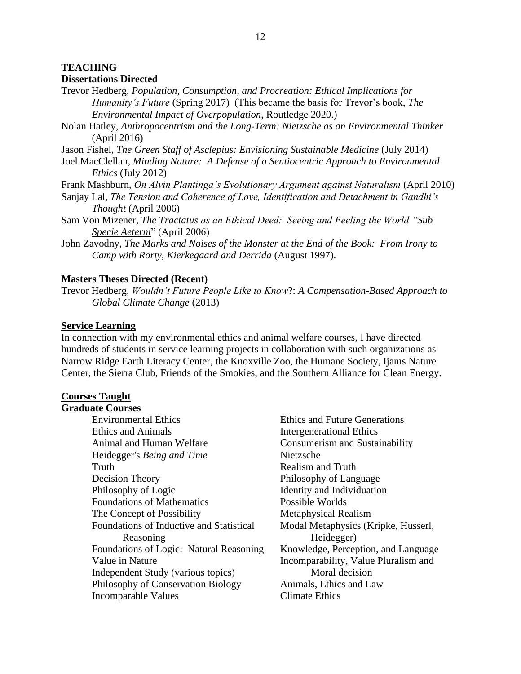### **TEACHING Dissertations Directed**

Trevor Hedberg, *Population, Consumption, and Procreation: Ethical Implications for Humanity's Future* (Spring 2017) (This became the basis for Trevor's book, *The Environmental Impact of Overpopulation*, Routledge 2020.)

Nolan Hatley, *Anthropocentrism and the Long-Term: Nietzsche as an Environmental Thinker* (April 2016)

Jason Fishel, *The Green Staff of Asclepius: Envisioning Sustainable Medicine* (July 2014)

Joel MacClellan, *Minding Nature: A Defense of a Sentiocentric Approach to Environmental Ethics* (July 2012)

Frank Mashburn, *On Alvin Plantinga's Evolutionary Argument against Naturalism* (April 2010)

- Sanjay Lal, *The Tension and Coherence of Love, Identification and Detachment in Gandhi's Thought* (April 2006)
- Sam Von Mizener, *The Tractatus as an Ethical Deed: Seeing and Feeling the World "Sub Specie Aeterni*" (April 2006)
- John Zavodny, *The Marks and Noises of the Monster at the End of the Book: From Irony to Camp with Rorty, Kierkegaard and Derrida* (August 1997).

### **Masters Theses Directed (Recent)**

Trevor Hedberg, *Wouldn't Future People Like to Know*?: *A Compensation-Based Approach to Global Climate Change* (2013)

#### **Service Learning**

In connection with my environmental ethics and animal welfare courses, I have directed hundreds of students in service learning projects in collaboration with such organizations as Narrow Ridge Earth Literacy Center, the Knoxville Zoo, the Humane Society, Ijams Nature Center, the Sierra Club, Friends of the Smokies, and the Southern Alliance for Clean Energy.

### **Courses Taught**

#### **Graduate Courses**

Environmental Ethics Ethics and Future Generations Ethics and Animals Intergenerational Ethics Animal and Human Welfare Consumerism and Sustainability Heidegger's *Being and Time* Nietzsche Truth Realism and Truth Decision Theory **Philosophy of Language** Philosophy of Logic Identity and Individuation Foundations of Mathematics Possible Worlds The Concept of Possibility Metaphysical Realism Foundations of Inductive and Statistical Reasoning Foundations of Logic: Natural Reasoning Knowledge, Perception, and Language Value in Nature Independent Study (various topics) Philosophy of Conservation Biology Animals, Ethics and Law Incomparable Values Climate Ethics

Modal Metaphysics (Kripke, Husserl, Heidegger) Incomparability, Value Pluralism and Moral decision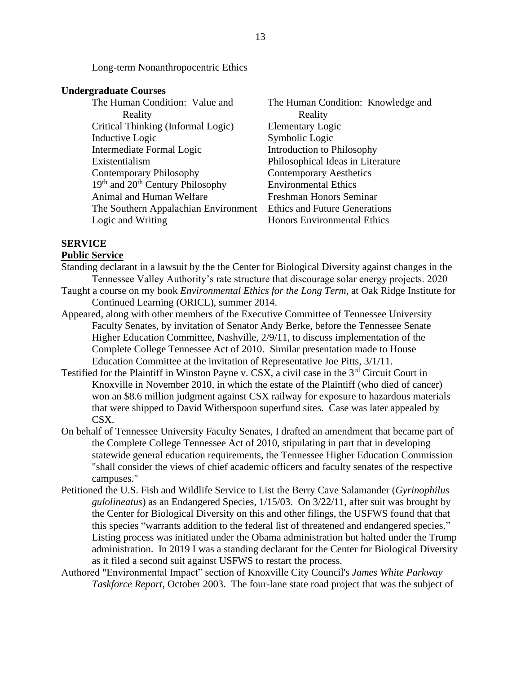Long-term Nonanthropocentric Ethics

#### **Undergraduate Courses**

The Human Condition: Value and Reality Critical Thinking (Informal Logic) Elementary Logic Inductive Logic Symbolic Logic Intermediate Formal Logic Introduction to Philosophy Existentialism Philosophical Ideas in Literature Contemporary Philosophy Contemporary Aesthetics 19<sup>th</sup> and 20<sup>th</sup> Century Philosophy Environmental Ethics Animal and Human Welfare Freshman Honors Seminar The Southern Appalachian Environment Ethics and Future Generations Logic and Writing **Honors** Environmental Ethics

The Human Condition: Knowledge and Reality

# **SERVICE**

#### **Public Service**

- Standing declarant in a lawsuit by the the Center for Biological Diversity against changes in the Tennessee Valley Authority's rate structure that discourage solar energy projects. 2020
- Taught a course on my book *Environmental Ethics for the Long Term*, at Oak Ridge Institute for Continued Learning (ORICL), summer 2014.
- Appeared, along with other members of the Executive Committee of Tennessee University Faculty Senates, by invitation of Senator Andy Berke, before the Tennessee Senate Higher Education Committee, Nashville, 2/9/11, to discuss implementation of the Complete College Tennessee Act of 2010. Similar presentation made to House Education Committee at the invitation of Representative Joe Pitts, 3/1/11.
- Testified for the Plaintiff in Winston Payne v. CSX, a civil case in the 3rd Circuit Court in Knoxville in November 2010, in which the estate of the Plaintiff (who died of cancer) won an \$8.6 million judgment against CSX railway for exposure to hazardous materials that were shipped to David Witherspoon superfund sites. Case was later appealed by CSX.
- On behalf of Tennessee University Faculty Senates, I drafted an amendment that became part of the Complete College Tennessee Act of 2010, stipulating in part that in developing statewide general education requirements, the Tennessee Higher Education Commission "shall consider the views of chief academic officers and faculty senates of the respective campuses."
- Petitioned the U.S. Fish and Wildlife Service to List the Berry Cave Salamander (*Gyrinophilus gulolineatus*) as an Endangered Species, 1/15/03. On 3/22/11, after suit was brought by the Center for Biological Diversity on this and other filings, the USFWS found that that this species "warrants addition to the federal list of threatened and endangered species." Listing process was initiated under the Obama administration but halted under the Trump administration. In 2019 I was a standing declarant for the Center for Biological Diversity as it filed a second suit against USFWS to restart the process.
- Authored "Environmental Impact" section of Knoxville City Council's *James White Parkway Taskforce Report*, October 2003. The four-lane state road project that was the subject of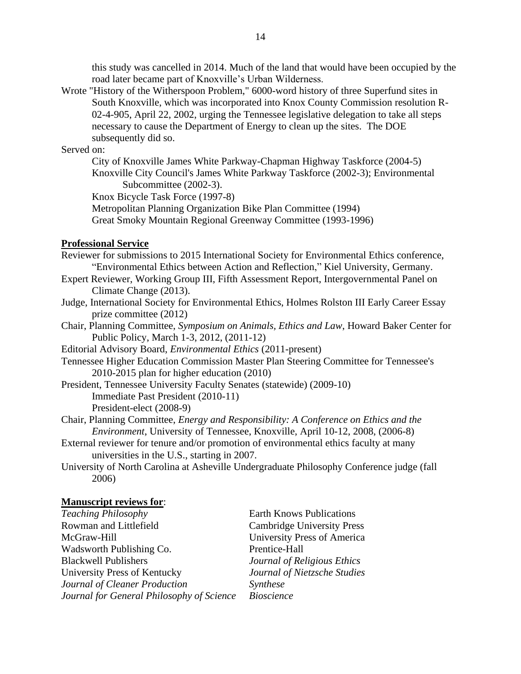this study was cancelled in 2014. Much of the land that would have been occupied by the road later became part of Knoxville's Urban Wilderness.

Wrote "History of the Witherspoon Problem," 6000-word history of three Superfund sites in South Knoxville, which was incorporated into Knox County Commission resolution R-02-4-905, April 22, 2002, urging the Tennessee legislative delegation to take all steps necessary to cause the Department of Energy to clean up the sites. The DOE subsequently did so.

#### Served on:

City of Knoxville James White Parkway-Chapman Highway Taskforce (2004-5) Knoxville City Council's James White Parkway Taskforce (2002-3); Environmental Subcommittee (2002-3).

Knox Bicycle Task Force (1997-8)

Metropolitan Planning Organization Bike Plan Committee (1994) Great Smoky Mountain Regional Greenway Committee (1993-1996)

### **Professional Service**

- Reviewer for submissions to 2015 International Society for Environmental Ethics conference, "Environmental Ethics between Action and Reflection," Kiel University, Germany.
- Expert Reviewer, Working Group III, Fifth Assessment Report, Intergovernmental Panel on Climate Change (2013).
- Judge, International Society for Environmental Ethics, Holmes Rolston III Early Career Essay prize committee (2012)
- Chair, Planning Committee, *Symposium on Animals, Ethics and Law*, Howard Baker Center for Public Policy, March 1-3, 2012, (2011-12)
- Editorial Advisory Board, *Environmental Ethics* (2011-present)
- Tennessee Higher Education Commission Master Plan Steering Committee for Tennessee's 2010-2015 plan for higher education (2010)
- President, Tennessee University Faculty Senates (statewide) (2009-10) Immediate Past President (2010-11) President-elect (2008-9)
- Chair, Planning Committee, *Energy and Responsibility: A Conference on Ethics and the Environment*, University of Tennessee, Knoxville, April 10-12, 2008, (2006-8)
- External reviewer for tenure and/or promotion of environmental ethics faculty at many universities in the U.S., starting in 2007.
- University of North Carolina at Asheville Undergraduate Philosophy Conference judge (fall 2006)

### **Manuscript reviews for**:

| <b>Teaching Philosophy</b>                | <b>Earth Knows Publications</b>   |
|-------------------------------------------|-----------------------------------|
| Rowman and Littlefield                    | <b>Cambridge University Press</b> |
| McGraw-Hill                               | University Press of America       |
| Wadsworth Publishing Co.                  | Prentice-Hall                     |
| <b>Blackwell Publishers</b>               | Journal of Religious Ethics       |
| University Press of Kentucky              | Journal of Nietzsche Studies      |
| Journal of Cleaner Production             | Synthese                          |
| Journal for General Philosophy of Science | <b>Bioscience</b>                 |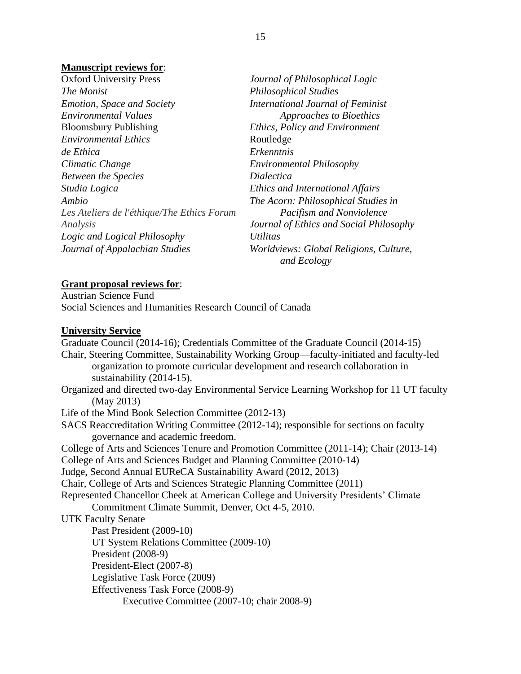### **Manuscript reviews for**:

| <b>Oxford University Press</b>             | Journal of Philosophical Logic                        |
|--------------------------------------------|-------------------------------------------------------|
| The Monist                                 | <b>Philosophical Studies</b>                          |
| <b>Emotion, Space and Society</b>          | International Journal of Feminist                     |
| Environmental Values                       | Approaches to Bioethics                               |
| <b>Bloomsbury Publishing</b>               | <b>Ethics, Policy and Environment</b>                 |
| <i>Environmental Ethics</i>                | Routledge                                             |
| de Ethica                                  | Erkenntnis                                            |
| Climatic Change                            | <b>Environmental Philosophy</b>                       |
| <b>Between the Species</b>                 | <i>Dialectica</i>                                     |
| Studia Logica                              | <b>Ethics and International Affairs</b>               |
| Ambio                                      | The Acorn: Philosophical Studies in                   |
| Les Ateliers de l'éthique/The Ethics Forum | Pacifism and Nonviolence                              |
| Analysis                                   | Journal of Ethics and Social Philosophy               |
| Logic and Logical Philosophy               | <b>Utilitas</b>                                       |
| Journal of Appalachian Studies             | Worldviews: Global Religions, Culture,<br>and Ecology |

#### **Grant proposal reviews for**:

Austrian Science Fund Social Sciences and Humanities Research Council of Canada

#### **University Service**

Graduate Council (2014-16); Credentials Committee of the Graduate Council (2014-15) Chair, Steering Committee, Sustainability Working Group—faculty-initiated and faculty-led organization to promote curricular development and research collaboration in sustainability (2014-15). Organized and directed two-day Environmental Service Learning Workshop for 11 UT faculty (May 2013) Life of the Mind Book Selection Committee (2012-13) SACS Reaccreditation Writing Committee (2012-14); responsible for sections on faculty governance and academic freedom. College of Arts and Sciences Tenure and Promotion Committee (2011-14); Chair (2013-14) College of Arts and Sciences Budget and Planning Committee (2010-14) Judge, Second Annual EUReCA Sustainability Award (2012, 2013) Chair, College of Arts and Sciences Strategic Planning Committee (2011) Represented Chancellor Cheek at American College and University Presidents' Climate Commitment Climate Summit, Denver, Oct 4-5, 2010. UTK Faculty Senate Past President (2009-10) UT System Relations Committee (2009-10) President (2008-9) President-Elect (2007-8) Legislative Task Force (2009) Effectiveness Task Force (2008-9) Executive Committee (2007-10; chair 2008-9)

15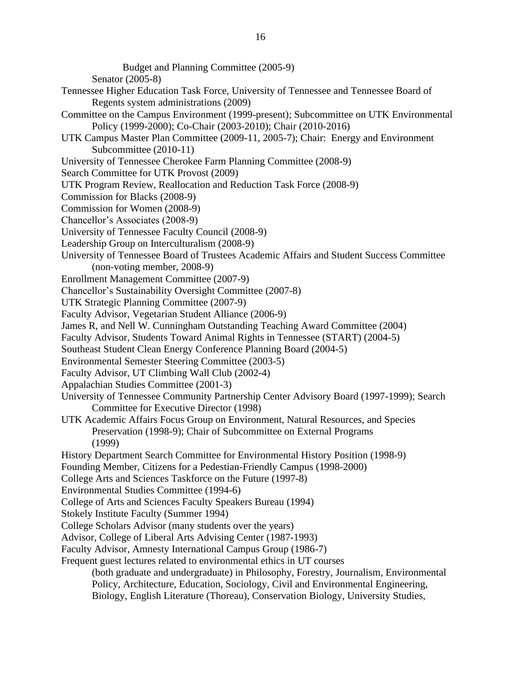Budget and Planning Committee (2005-9)

Senator (2005-8)

- Tennessee Higher Education Task Force, University of Tennessee and Tennessee Board of Regents system administrations (2009)
- Committee on the Campus Environment (1999-present); Subcommittee on UTK Environmental Policy (1999-2000); Co-Chair (2003-2010); Chair (2010-2016)
- UTK Campus Master Plan Committee (2009-11, 2005-7); Chair: Energy and Environment Subcommittee (2010-11)
- University of Tennessee Cherokee Farm Planning Committee (2008-9)
- Search Committee for UTK Provost (2009)
- UTK Program Review, Reallocation and Reduction Task Force (2008-9)
- Commission for Blacks (2008-9)
- Commission for Women (2008-9)
- Chancellor's Associates (2008-9)
- University of Tennessee Faculty Council (2008-9)
- Leadership Group on Interculturalism (2008-9)
- University of Tennessee Board of Trustees Academic Affairs and Student Success Committee (non-voting member, 2008-9)
- Enrollment Management Committee (2007-9)
- Chancellor's Sustainability Oversight Committee (2007-8)
- UTK Strategic Planning Committee (2007-9)
- Faculty Advisor, Vegetarian Student Alliance (2006-9)
- James R, and Nell W. Cunningham Outstanding Teaching Award Committee (2004)
- Faculty Advisor, Students Toward Animal Rights in Tennessee (START) (2004-5)
- Southeast Student Clean Energy Conference Planning Board (2004-5)
- Environmental Semester Steering Committee (2003-5)
- Faculty Advisor, UT Climbing Wall Club (2002-4)
- Appalachian Studies Committee (2001-3)
- University of Tennessee Community Partnership Center Advisory Board (1997-1999); Search Committee for Executive Director (1998)
- UTK Academic Affairs Focus Group on Environment, Natural Resources, and Species Preservation (1998-9); Chair of Subcommittee on External Programs (1999)
- History Department Search Committee for Environmental History Position (1998-9)
- Founding Member, Citizens for a Pedestian-Friendly Campus (1998-2000)
- College Arts and Sciences Taskforce on the Future (1997-8)
- Environmental Studies Committee (1994-6)
- College of Arts and Sciences Faculty Speakers Bureau (1994)
- Stokely Institute Faculty (Summer 1994)
- College Scholars Advisor (many students over the years)
- Advisor, College of Liberal Arts Advising Center (1987-1993)
- Faculty Advisor, Amnesty International Campus Group (1986-7)
- Frequent guest lectures related to environmental ethics in UT courses
	- (both graduate and undergraduate) in Philosophy, Forestry, Journalism, Environmental Policy, Architecture, Education, Sociology, Civil and Environmental Engineering, Biology, English Literature (Thoreau), Conservation Biology, University Studies,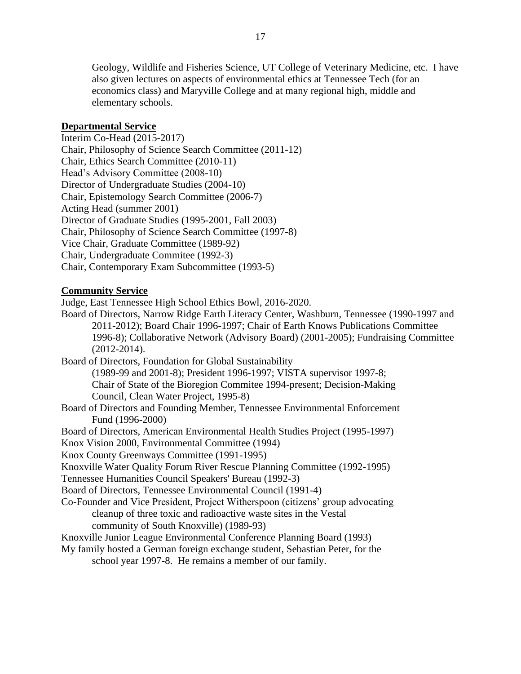Geology, Wildlife and Fisheries Science, UT College of Veterinary Medicine, etc. I have also given lectures on aspects of environmental ethics at Tennessee Tech (for an economics class) and Maryville College and at many regional high, middle and elementary schools.

### **Departmental Service**

Interim Co-Head (2015-2017) Chair, Philosophy of Science Search Committee (2011-12) Chair, Ethics Search Committee (2010-11) Head's Advisory Committee (2008-10) Director of Undergraduate Studies (2004-10) Chair, Epistemology Search Committee (2006-7) Acting Head (summer 2001) Director of Graduate Studies (1995-2001, Fall 2003) Chair, Philosophy of Science Search Committee (1997-8) Vice Chair, Graduate Committee (1989-92) Chair, Undergraduate Commitee (1992-3) Chair, Contemporary Exam Subcommittee (1993-5)

# **Community Service**

Judge, East Tennessee High School Ethics Bowl, 2016-2020.

Board of Directors, Narrow Ridge Earth Literacy Center, Washburn, Tennessee (1990-1997 and 2011-2012); Board Chair 1996-1997; Chair of Earth Knows Publications Committee 1996-8); Collaborative Network (Advisory Board) (2001-2005); Fundraising Committee (2012-2014).

Board of Directors, Foundation for Global Sustainability (1989-99 and 2001-8); President 1996-1997; VISTA supervisor 1997-8; Chair of State of the Bioregion Commitee 1994-present; Decision-Making Council, Clean Water Project, 1995-8)

Board of Directors and Founding Member, Tennessee Environmental Enforcement Fund (1996-2000)

Board of Directors, American Environmental Health Studies Project (1995-1997)

Knox Vision 2000, Environmental Committee (1994)

Knox County Greenways Committee (1991-1995)

Knoxville Water Quality Forum River Rescue Planning Committee (1992-1995)

Tennessee Humanities Council Speakers' Bureau (1992-3)

Board of Directors, Tennessee Environmental Council (1991-4)

Co-Founder and Vice President, Project Witherspoon (citizens' group advocating cleanup of three toxic and radioactive waste sites in the Vestal community of South Knoxville) (1989-93)

Knoxville Junior League Environmental Conference Planning Board (1993)

My family hosted a German foreign exchange student, Sebastian Peter, for the

school year 1997-8. He remains a member of our family.